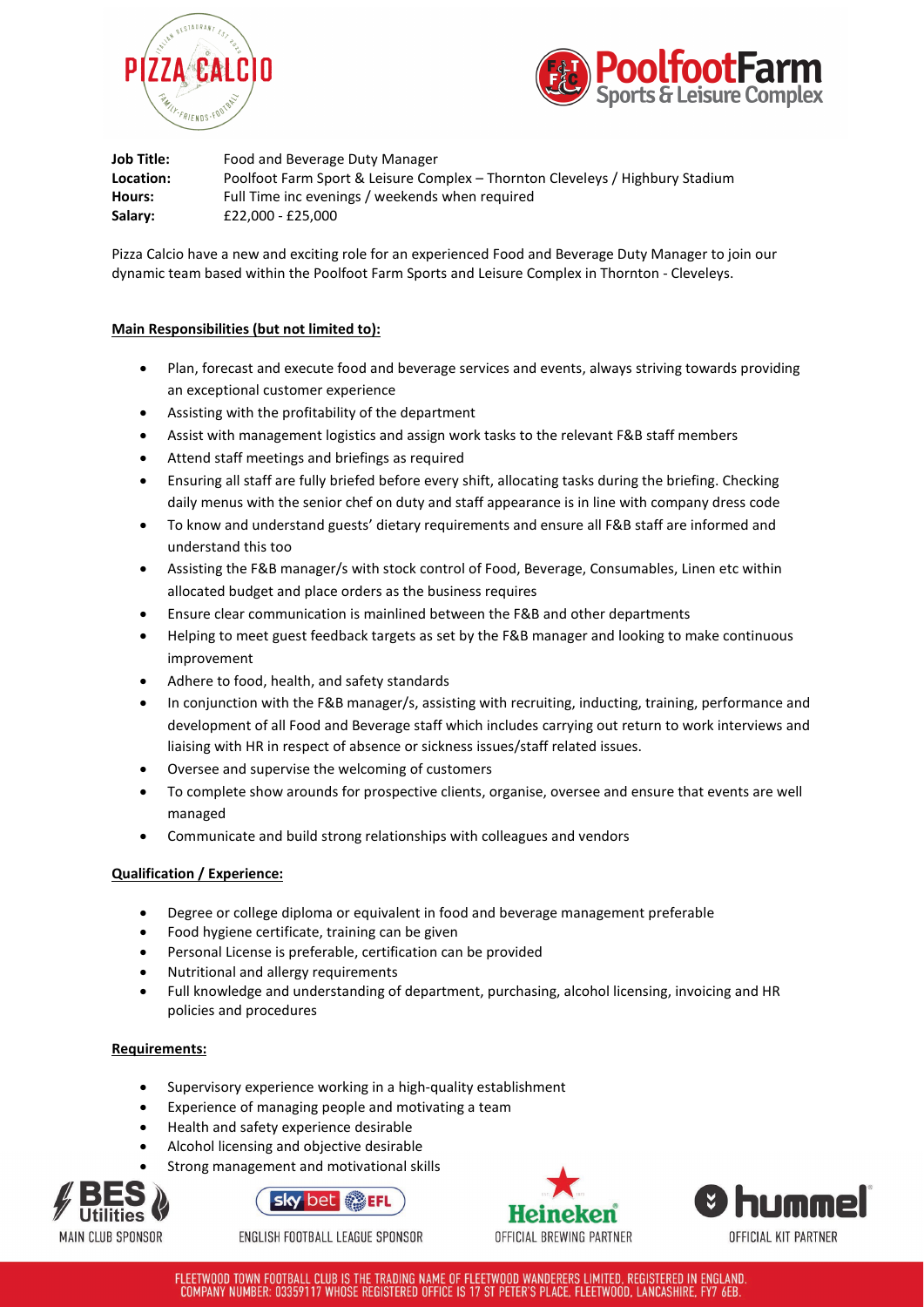



**Job Title:** Food and Beverage Duty Manager **Location:** Poolfoot Farm Sport & Leisure Complex – Thornton Cleveleys / Highbury Stadium **Hours:** Full Time inc evenings / weekends when required **Salary:** £22,000 - £25,000

Pizza Calcio have a new and exciting role for an experienced Food and Beverage Duty Manager to join our dynamic team based within the Poolfoot Farm Sports and Leisure Complex in Thornton - Cleveleys.

# **Main Responsibilities (but not limited to):**

- Plan, forecast and execute food and beverage services and events, always striving towards providing an exceptional customer experience
- Assisting with the profitability of the department
- Assist with management logistics and assign work tasks to the relevant F&B staff members
- Attend staff meetings and briefings as required
- Ensuring all staff are fully briefed before every shift, allocating tasks during the briefing. Checking daily menus with the senior chef on duty and staff appearance is in line with company dress code
- To know and understand guests' dietary requirements and ensure all F&B staff are informed and understand this too
- Assisting the F&B manager/s with stock control of Food, Beverage, Consumables, Linen etc within allocated budget and place orders as the business requires
- Ensure clear communication is mainlined between the F&B and other departments
- Helping to meet guest feedback targets as set by the F&B manager and looking to make continuous improvement
- Adhere to food, health, and safety standards
- In conjunction with the F&B manager/s, assisting with recruiting, inducting, training, performance and development of all Food and Beverage staff which includes carrying out return to work interviews and liaising with HR in respect of absence or sickness issues/staff related issues.
- Oversee and supervise the welcoming of customers
- To complete show arounds for prospective clients, organise, oversee and ensure that events are well managed
- Communicate and build strong relationships with colleagues and vendors

## **Qualification / Experience:**

- Degree or college diploma or equivalent in food and beverage management preferable
- Food hygiene certificate, training can be given
- Personal License is preferable, certification can be provided
- Nutritional and allergy requirements
- Full knowledge and understanding of department, purchasing, alcohol licensing, invoicing and HR policies and procedures

## **Requirements:**

- Supervisory experience working in a high-quality establishment
- Experience of managing people and motivating a team
- Health and safety experience desirable
- Alcohol licensing and objective desirable
- Strong management and motivational skills





ENGLISH FOOTBALL LEAGUE SPONSOR